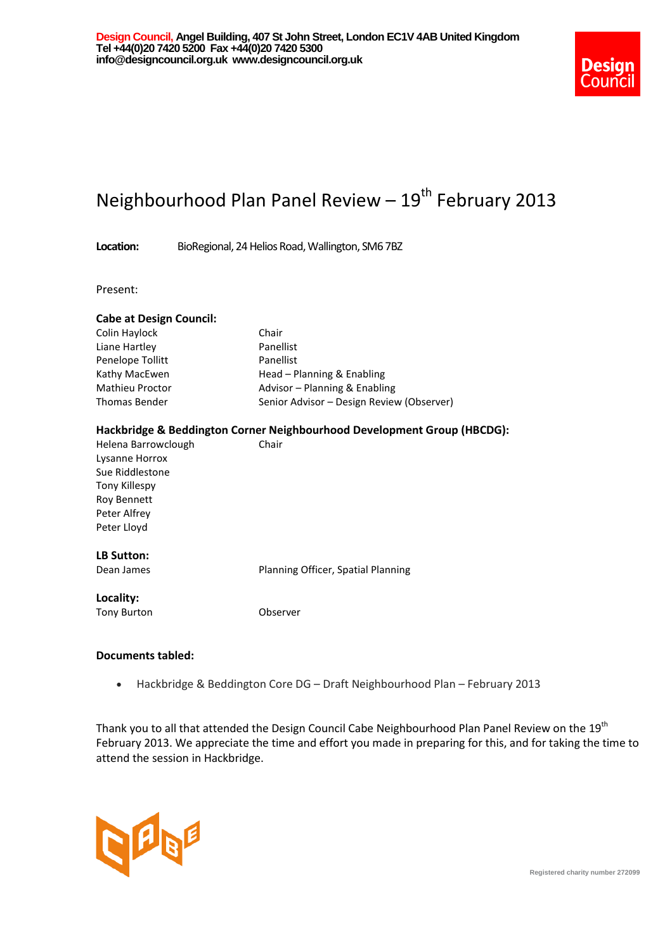

# Neighbourhood Plan Panel Review - 19<sup>th</sup> February 2013

**Location:** BioRegional, 24 Helios Road, Wallington, SM6 7BZ

Present:

| <b>Cabe at Design Council:</b> |                                           |
|--------------------------------|-------------------------------------------|
| Colin Haylock                  | Chair                                     |
| Liane Hartley                  | Panellist                                 |
| Penelope Tollitt               | Panellist                                 |
| Kathy MacEwen                  | Head - Planning & Enabling                |
| <b>Mathieu Proctor</b>         | Advisor – Planning & Enabling             |
| <b>Thomas Bender</b>           | Senior Advisor – Design Review (Observer) |
|                                |                                           |

#### **Hackbridge & Beddington Corner Neighbourhood Development Group (HBCDG):**

| Helena Barrowclough | Chair |
|---------------------|-------|
| Lysanne Horrox      |       |
| Sue Riddlestone     |       |
| Tony Killespy       |       |
| <b>Roy Bennett</b>  |       |
| Peter Alfrey        |       |
| Peter Lloyd         |       |
|                     |       |

## **LB Sutton:**

Dean James **Planning Officer**, Spatial Planning

#### **Locality:**

Tony Burton **CODSERVER** Observer

## **Documents tabled:**

Hackbridge & Beddington Core DG – Draft Neighbourhood Plan – February 2013

Thank you to all that attended the Design Council Cabe Neighbourhood Plan Panel Review on the 19<sup>th</sup> February 2013. We appreciate the time and effort you made in preparing for this, and for taking the time to attend the session in Hackbridge.



**Registered charity number 272099**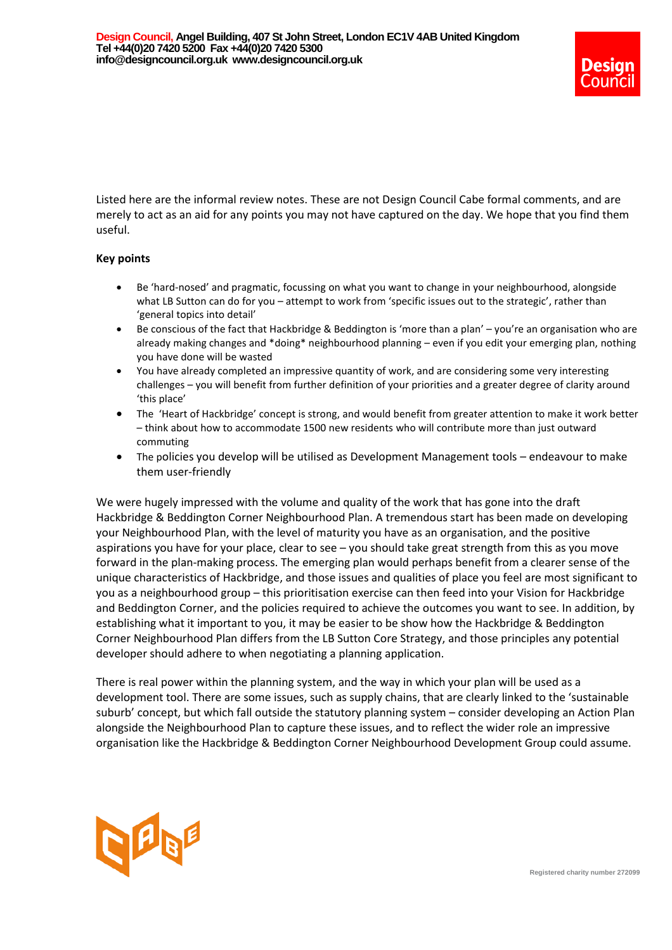

Listed here are the informal review notes. These are not Design Council Cabe formal comments, and are merely to act as an aid for any points you may not have captured on the day. We hope that you find them useful.

## **Key points**

- Be 'hard-nosed' and pragmatic, focussing on what you want to change in your neighbourhood, alongside what LB Sutton can do for you – attempt to work from 'specific issues out to the strategic', rather than 'general topics into detail'
- Be conscious of the fact that Hackbridge & Beddington is 'more than a plan' you're an organisation who are already making changes and \*doing\* neighbourhood planning – even if you edit your emerging plan, nothing you have done will be wasted
- You have already completed an impressive quantity of work, and are considering some very interesting challenges – you will benefit from further definition of your priorities and a greater degree of clarity around 'this place'
- The 'Heart of Hackbridge' concept is strong, and would benefit from greater attention to make it work better – think about how to accommodate 1500 new residents who will contribute more than just outward commuting
- The policies you develop will be utilised as Development Management tools endeavour to make them user-friendly

We were hugely impressed with the volume and quality of the work that has gone into the draft Hackbridge & Beddington Corner Neighbourhood Plan. A tremendous start has been made on developing your Neighbourhood Plan, with the level of maturity you have as an organisation, and the positive aspirations you have for your place, clear to see – you should take great strength from this as you move forward in the plan-making process. The emerging plan would perhaps benefit from a clearer sense of the unique characteristics of Hackbridge, and those issues and qualities of place you feel are most significant to you as a neighbourhood group – this prioritisation exercise can then feed into your Vision for Hackbridge and Beddington Corner, and the policies required to achieve the outcomes you want to see. In addition, by establishing what it important to you, it may be easier to be show how the Hackbridge & Beddington Corner Neighbourhood Plan differs from the LB Sutton Core Strategy, and those principles any potential developer should adhere to when negotiating a planning application.

There is real power within the planning system, and the way in which your plan will be used as a development tool. There are some issues, such as supply chains, that are clearly linked to the 'sustainable suburb' concept, but which fall outside the statutory planning system – consider developing an Action Plan alongside the Neighbourhood Plan to capture these issues, and to reflect the wider role an impressive organisation like the Hackbridge & Beddington Corner Neighbourhood Development Group could assume.

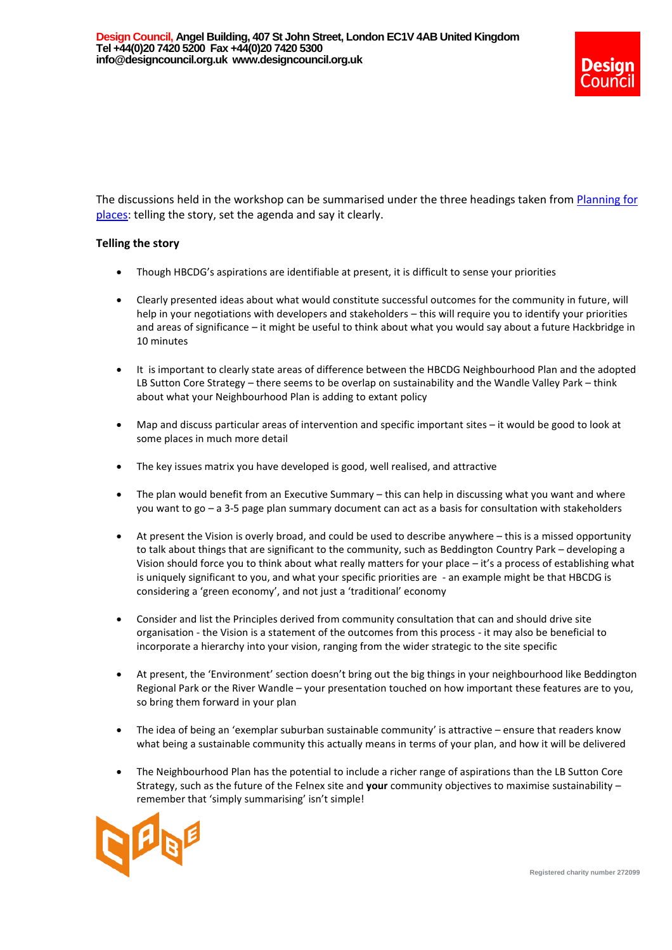

The discussions held in the workshop can be summarised under the three headings taken from Planning for [places:](http://webarchive.nationalarchives.gov.uk/20110118095356/http:/www.cabe.org.uk/publications/planning-for-places) telling the story, set the agenda and say it clearly.

#### **Telling the story**

- Though HBCDG's aspirations are identifiable at present, it is difficult to sense your priorities
- Clearly presented ideas about what would constitute successful outcomes for the community in future, will help in your negotiations with developers and stakeholders – this will require you to identify your priorities and areas of significance – it might be useful to think about what you would say about a future Hackbridge in 10 minutes
- It is important to clearly state areas of difference between the HBCDG Neighbourhood Plan and the adopted LB Sutton Core Strategy – there seems to be overlap on sustainability and the Wandle Valley Park – think about what your Neighbourhood Plan is adding to extant policy
- Map and discuss particular areas of intervention and specific important sites it would be good to look at some places in much more detail
- The key issues matrix you have developed is good, well realised, and attractive
- The plan would benefit from an Executive Summary this can help in discussing what you want and where you want to go – a 3-5 page plan summary document can act as a basis for consultation with stakeholders
- At present the Vision is overly broad, and could be used to describe anywhere this is a missed opportunity to talk about things that are significant to the community, such as Beddington Country Park – developing a Vision should force you to think about what really matters for your place – it's a process of establishing what is uniquely significant to you, and what your specific priorities are - an example might be that HBCDG is considering a 'green economy', and not just a 'traditional' economy
- Consider and list the Principles derived from community consultation that can and should drive site organisation - the Vision is a statement of the outcomes from this process - it may also be beneficial to incorporate a hierarchy into your vision, ranging from the wider strategic to the site specific
- At present, the 'Environment' section doesn't bring out the big things in your neighbourhood like Beddington Regional Park or the River Wandle – your presentation touched on how important these features are to you, so bring them forward in your plan
- The idea of being an 'exemplar suburban sustainable community' is attractive ensure that readers know what being a sustainable community this actually means in terms of your plan, and how it will be delivered
- The Neighbourhood Plan has the potential to include a richer range of aspirations than the LB Sutton Core Strategy, such as the future of the Felnex site and **your** community objectives to maximise sustainability – remember that 'simply summarising' isn't simple!

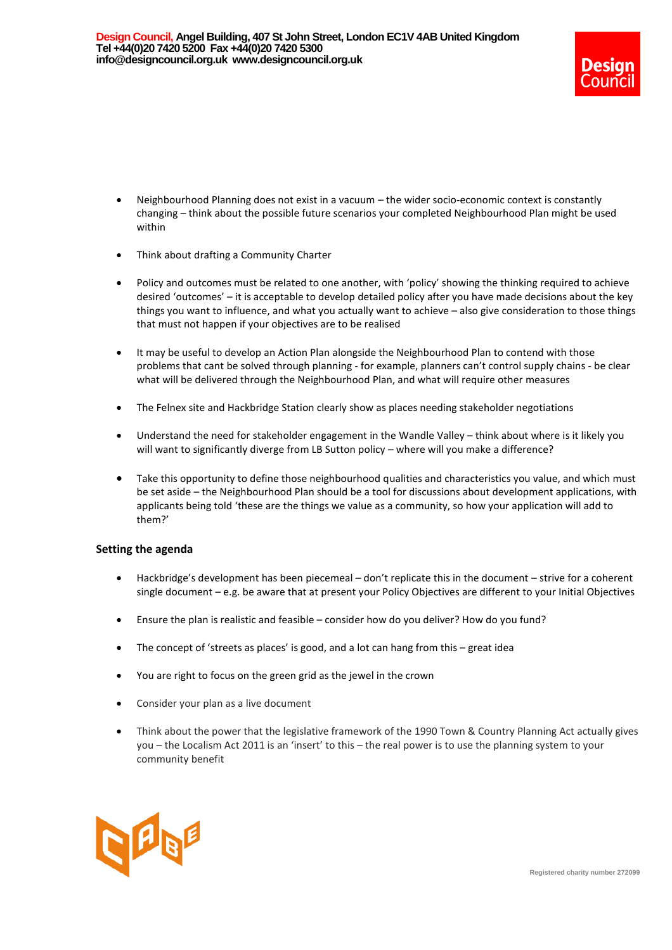

- Neighbourhood Planning does not exist in a vacuum the wider socio-economic context is constantly changing – think about the possible future scenarios your completed Neighbourhood Plan might be used within
- Think about drafting a Community Charter
- Policy and outcomes must be related to one another, with 'policy' showing the thinking required to achieve desired 'outcomes' – it is acceptable to develop detailed policy after you have made decisions about the key things you want to influence, and what you actually want to achieve – also give consideration to those things that must not happen if your objectives are to be realised
- It may be useful to develop an Action Plan alongside the Neighbourhood Plan to contend with those problems that cant be solved through planning - for example, planners can't control supply chains - be clear what will be delivered through the Neighbourhood Plan, and what will require other measures
- The Felnex site and Hackbridge Station clearly show as places needing stakeholder negotiations
- Understand the need for stakeholder engagement in the Wandle Valley think about where is it likely you will want to significantly diverge from LB Sutton policy - where will you make a difference?
- Take this opportunity to define those neighbourhood qualities and characteristics you value, and which must be set aside – the Neighbourhood Plan should be a tool for discussions about development applications, with applicants being told 'these are the things we value as a community, so how your application will add to them?'

#### **Setting the agenda**

- Hackbridge's development has been piecemeal don't replicate this in the document strive for a coherent single document – e.g. be aware that at present your Policy Objectives are different to your Initial Objectives
- Ensure the plan is realistic and feasible consider how do you deliver? How do you fund?
- The concept of 'streets as places' is good, and a lot can hang from this great idea
- You are right to focus on the green grid as the jewel in the crown
- Consider your plan as a live document
- Think about the power that the legislative framework of the 1990 Town & Country Planning Act actually gives you – the Localism Act 2011 is an 'insert' to this – the real power is to use the planning system to your community benefit

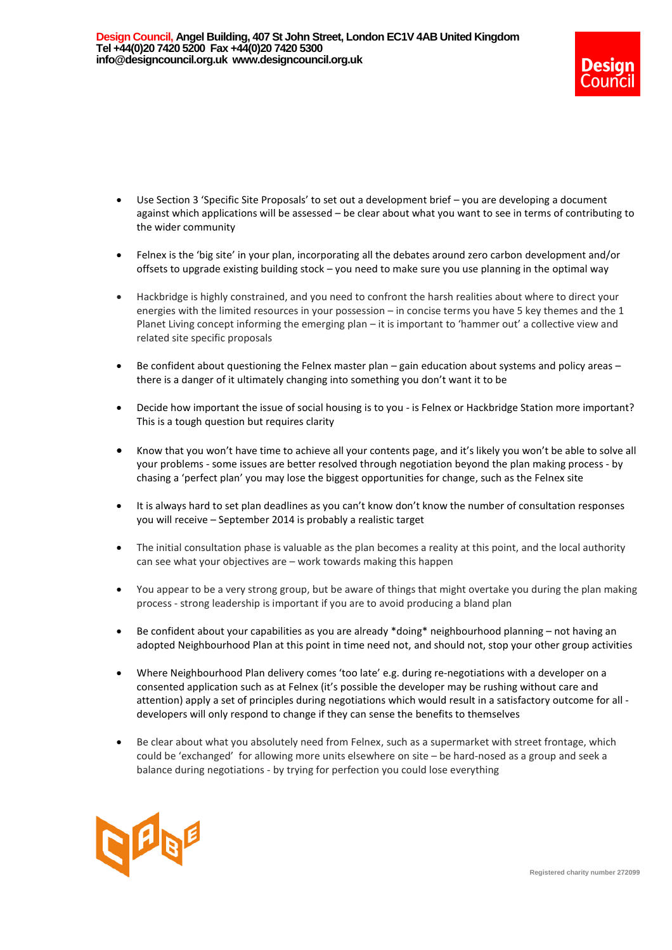

- Use Section 3 'Specific Site Proposals' to set out a development brief you are developing a document against which applications will be assessed – be clear about what you want to see in terms of contributing to the wider community
- Felnex is the 'big site' in your plan, incorporating all the debates around zero carbon development and/or offsets to upgrade existing building stock – you need to make sure you use planning in the optimal way
- Hackbridge is highly constrained, and you need to confront the harsh realities about where to direct your energies with the limited resources in your possession – in concise terms you have 5 key themes and the 1 Planet Living concept informing the emerging plan – it is important to 'hammer out' a collective view and related site specific proposals
- Be confident about questioning the Felnex master plan gain education about systems and policy areas there is a danger of it ultimately changing into something you don't want it to be
- Decide how important the issue of social housing is to you is Felnex or Hackbridge Station more important? This is a tough question but requires clarity
- Know that you won't have time to achieve all your contents page, and it's likely you won't be able to solve all your problems - some issues are better resolved through negotiation beyond the plan making process - by chasing a 'perfect plan' you may lose the biggest opportunities for change, such as the Felnex site
- It is always hard to set plan deadlines as you can't know don't know the number of consultation responses you will receive – September 2014 is probably a realistic target
- The initial consultation phase is valuable as the plan becomes a reality at this point, and the local authority can see what your objectives are – work towards making this happen
- You appear to be a very strong group, but be aware of things that might overtake you during the plan making process - strong leadership is important if you are to avoid producing a bland plan
- Be confident about your capabilities as you are already \*doing\* neighbourhood planning not having an adopted Neighbourhood Plan at this point in time need not, and should not, stop your other group activities
- Where Neighbourhood Plan delivery comes 'too late' e.g. during re-negotiations with a developer on a consented application such as at Felnex (it's possible the developer may be rushing without care and attention) apply a set of principles during negotiations which would result in a satisfactory outcome for all developers will only respond to change if they can sense the benefits to themselves
- Be clear about what you absolutely need from Felnex, such as a supermarket with street frontage, which could be 'exchanged' for allowing more units elsewhere on site – be hard-nosed as a group and seek a balance during negotiations - by trying for perfection you could lose everything

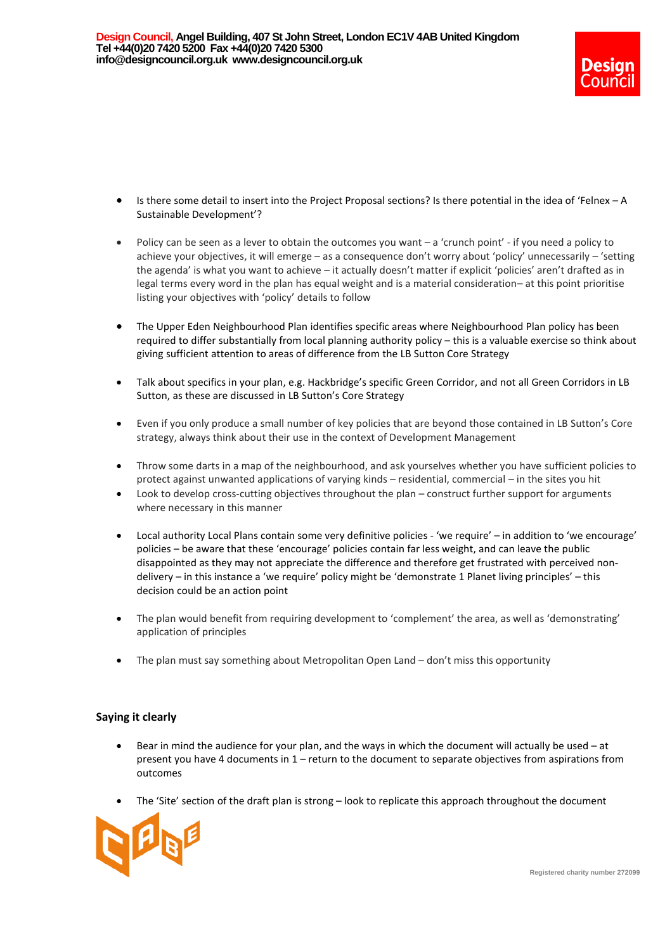

- Is there some detail to insert into the Project Proposal sections? Is there potential in the idea of 'Felnex A Sustainable Development'?
- Policy can be seen as a lever to obtain the outcomes you want a 'crunch point' if you need a policy to achieve your objectives, it will emerge – as a consequence don't worry about 'policy' unnecessarily – 'setting the agenda' is what you want to achieve – it actually doesn't matter if explicit 'policies' aren't drafted as in legal terms every word in the plan has equal weight and is a material consideration– at this point prioritise listing your objectives with 'policy' details to follow
- The Upper Eden Neighbourhood Plan identifies specific areas where Neighbourhood Plan policy has been required to differ substantially from local planning authority policy – this is a valuable exercise so think about giving sufficient attention to areas of difference from the LB Sutton Core Strategy
- Talk about specifics in your plan, e.g. Hackbridge's specific Green Corridor, and not all Green Corridors in LB Sutton, as these are discussed in LB Sutton's Core Strategy
- Even if you only produce a small number of key policies that are beyond those contained in LB Sutton's Core strategy, always think about their use in the context of Development Management
- Throw some darts in a map of the neighbourhood, and ask yourselves whether you have sufficient policies to protect against unwanted applications of varying kinds – residential, commercial – in the sites you hit
- Look to develop cross-cutting objectives throughout the plan construct further support for arguments where necessary in this manner
- Local authority Local Plans contain some very definitive policies 'we require' in addition to 'we encourage' policies – be aware that these 'encourage' policies contain far less weight, and can leave the public disappointed as they may not appreciate the difference and therefore get frustrated with perceived nondelivery – in this instance a 'we require' policy might be 'demonstrate 1 Planet living principles' – this decision could be an action point
- The plan would benefit from requiring development to 'complement' the area, as well as 'demonstrating' application of principles
- The plan must say something about Metropolitan Open Land don't miss this opportunity

## **Saying it clearly**

- Bear in mind the audience for your plan, and the ways in which the document will actually be used at present you have 4 documents in 1 – return to the document to separate objectives from aspirations from outcomes
- The 'Site' section of the draft plan is strong look to replicate this approach throughout the document